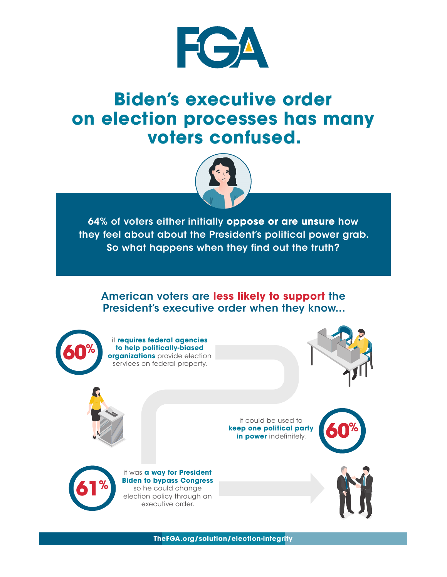

## **Biden's executive order on election processes has many voters confused.**



64% of voters either initially **oppose or are unsure** how they feel about about the President's political power grab. So what happens when they find out the truth?

## American voters are **less likely to support** the President's executive order when they know...



**TheFGA.org/solution/election-integrity**